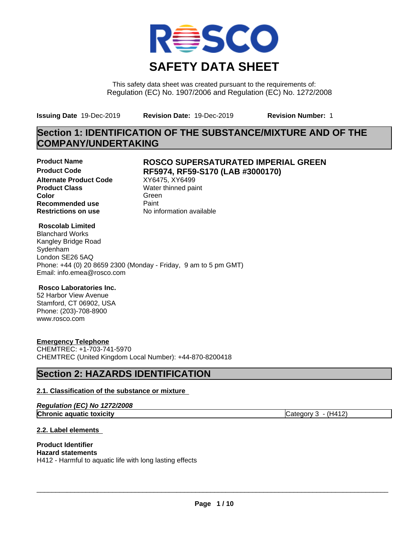

This safety data sheet was created pursuant to the requirements of: Regulation (EC) No. 1907/2006 and Regulation (EC) No. 1272/2008

**Issuing Date** 19-Dec-2019 **Revision Date:** 19-Dec-2019 **Revision Number:** 1

# **Section 1: IDENTIFICATION OF THE SUBSTANCE/MIXTURE AND OF THE COMPANY/UNDERTAKING**

**Alternate Product Code** XY6475, XY6499<br> **Product Class** Water thinned pai **Color** Green **Green** Green **Green Recommended use** Paint<br> **Restrictions on use** Mo information available **Restrictions on use** 

### **Product Name ROSCO SUPERSATURATED IMPERIAL GREEN Product Code RF5974, RF59-S170 (LAB #3000170)**

**Water thinned paint** 

#### **Roscolab Limited**

Blanchard Works Kangley Bridge Road Sydenham London SE26 5AQ Phone: +44 (0) 20 8659 2300 (Monday - Friday, 9 am to 5 pm GMT) Email: info.emea@rosco.com

#### **Rosco Laboratories Inc.**

52 Harbor View Avenue Stamford, CT 06902, USA Phone: (203)-708-8900 www.rosco.com

#### **Emergency Telephone**

CHEMTREC: +1-703-741-5970 CHEMTREC (United Kingdom Local Number): +44-870-8200418

# **Section 2: HAZARDS IDENTIFICATION**

#### **2.1. Classification of the substance or mixture**

|  | Regulation (EC) No 1272/2008 |  |
|--|------------------------------|--|
|--|------------------------------|--|

**Chronic aquatic toxicity** Chronic **aquatic** toxicity Category 3 - (H412)

**2.2. Label elements**

# **Product Identifier**

**Hazard statements** H412 - Harmful to aquatic life with long lasting effects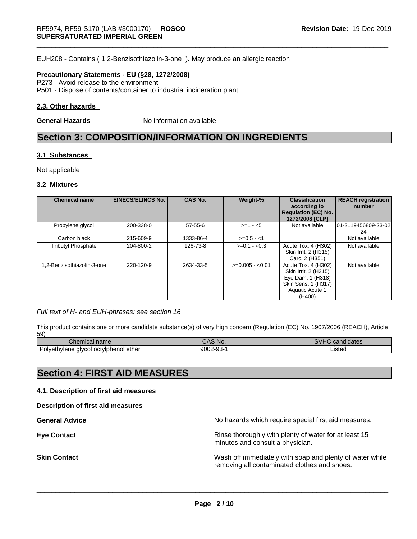EUH208 - Contains ( 1,2-Benzisothiazolin-3-one ). May produce an allergic reaction

#### **Precautionary Statements - EU (§28, 1272/2008)**

P273 - Avoid release to the environment P501 - Dispose of contents/container to industrial incineration plant

#### **2.3. Other hazards**

**General Hazards** No information available

# **Section 3: COMPOSITION/INFORMATION ON INGREDIENTS**

#### **3.1 Substances**

Not applicable

#### **3.2 Mixtures**

| <b>Chemical name</b>       | <b>EINECS/ELINCS No.</b> | <b>CAS No.</b> | Weight-%         | <b>Classification</b><br>according to<br><b>Regulation (EC) No.</b><br>1272/2008 [CLP]                               | <b>REACH registration</b><br>number |
|----------------------------|--------------------------|----------------|------------------|----------------------------------------------------------------------------------------------------------------------|-------------------------------------|
| Propylene glycol           | 200-338-0                | $57 - 55 - 6$  | $>=1 - 5$        | Not available                                                                                                        | 101-2119456809-23-02<br>24          |
| Carbon black               | 215-609-9                | 1333-86-4      | $>=0.5 - 1$      |                                                                                                                      | Not available                       |
| <b>Tributyl Phosphate</b>  | 204-800-2                | 126-73-8       | $>=0.1 - 0.3$    | Acute Tox. 4 (H302)<br>Skin Irrit. 2 (H315)<br>Carc. 2 (H351)                                                        | Not available                       |
| 1.2-Benzisothiazolin-3-one | 220-120-9                | 2634-33-5      | $>=0.005 - 0.01$ | Acute Tox. 4 (H302)<br>Skin Irrit. 2 (H315)<br>Eye Dam. 1 (H318)<br>Skin Sens. 1 (H317)<br>Aquatic Acute 1<br>(H400) | Not available                       |

#### *Full text of H- and EUH-phrases: see section 16*

This product contains one or more candidate substance(s) of very high concern (Regulation (EC) No. 1907/2006 (REACH), Article 59)

| $\sim$<br>name<br>Chemical                                | 'No.<br><b>JAC</b>          | $\cdots$<br>.<br>ndidates<br>$\mathbf{A}$<br><b>J.A.</b> |
|-----------------------------------------------------------|-----------------------------|----------------------------------------------------------|
| -<br>i ether<br>octviphenol<br>Polvethylene<br>. alvcol . | 9002-9<br>$\sim$<br>--<br>ູ | ictor<br>יסופנ                                           |

# **Section 4: FIRST AID MEASURES**

#### **4.1. Description of first aid measures**

**Description of first aid measures**

**General Advice** No hazards which require special first aid measures.

**Eye Contact Exercise 2.1 All 2.5 All 2.5 All 2.6 All 2.6 All 2.6 All 2.6 All 2.6 All 2.6 All 2.6 All 2.6 All 2.6 All 2.6 All 2.6 All 2.6 All 2.6 All 2.6 All 2.6 All 2.6 All 2.6 All 2.6 All 2.6 All 2.6 All 2.6 All 2.6 Al** minutes and consult a physician.

**Skin Contact** Mash of immediately with soap and plenty of water while removing all contaminated clothes and shoes.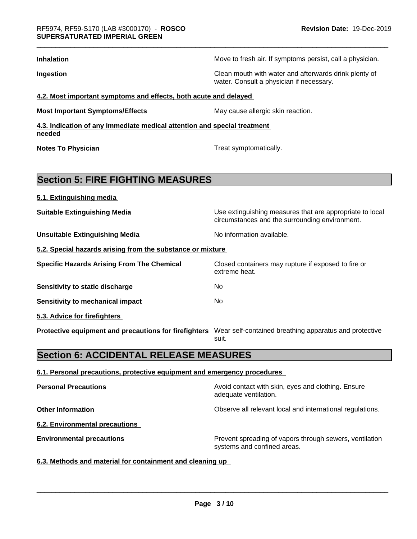| <b>Inhalation</b>                                                                                            | Move to fresh air. If symptoms persist, call a physician.                                                  |
|--------------------------------------------------------------------------------------------------------------|------------------------------------------------------------------------------------------------------------|
| Ingestion                                                                                                    | Clean mouth with water and afterwards drink plenty of<br>water. Consult a physician if necessary.          |
| 4.2. Most important symptoms and effects, both acute and delayed                                             |                                                                                                            |
| <b>Most Important Symptoms/Effects</b>                                                                       | May cause allergic skin reaction.                                                                          |
| 4.3. Indication of any immediate medical attention and special treatment<br>needed                           |                                                                                                            |
| <b>Notes To Physician</b>                                                                                    | Treat symptomatically.                                                                                     |
| <b>Section 5: FIRE FIGHTING MEASURES</b>                                                                     |                                                                                                            |
| 5.1. Extinguishing media                                                                                     |                                                                                                            |
| <b>Suitable Extinguishing Media</b>                                                                          | Use extinguishing measures that are appropriate to local<br>circumstances and the surrounding environment. |
| <b>Unsuitable Extinguishing Media</b>                                                                        | No information available.                                                                                  |
| 5.2. Special hazards arising from the substance or mixture                                                   |                                                                                                            |
| <b>Specific Hazards Arising From The Chemical</b>                                                            | Closed containers may rupture if exposed to fire or<br>extreme heat.                                       |
| Sensitivity to static discharge                                                                              | No                                                                                                         |
| <b>Sensitivity to mechanical impact</b>                                                                      | No                                                                                                         |
| 5.3. Advice for firefighters                                                                                 |                                                                                                            |
| Protective equipment and precautions for firefighters Wear self-contained breathing apparatus and protective | suit.                                                                                                      |
| <b>Section 6: ACCIDENTAL RELEASE MEASURES</b>                                                                |                                                                                                            |

#### **6.1. Personal precautions, protective equipment and emergency procedures**

| Avoid contact with skin, eyes and clothing. Ensure<br>adequate ventilation.            |
|----------------------------------------------------------------------------------------|
| Observe all relevant local and international regulations.                              |
|                                                                                        |
| Prevent spreading of vapors through sewers, ventilation<br>systems and confined areas. |
|                                                                                        |

# **6.3. Methods and material for containment and cleaning up**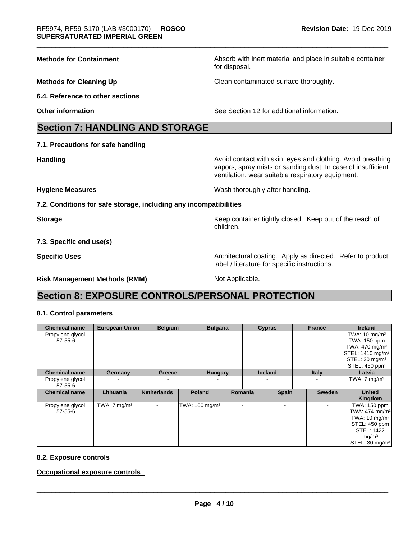**Methods for Containment** Absorb with inert material and place in suitable container

**Methods for Cleaning Up Clean contaminated surface thoroughly.** 

**6.4. Reference to other sections**

**Other information** See Section 12 for additional information.

# **Section 7: HANDLING AND STORAGE**

**7.1. Precautions for safe handling**

**Handling Handling Avoid contact with skin, eyes and clothing. Avoid breathing** vapors, spray mists or sanding dust. In case of insufficient ventilation, wear suitable respiratory equipment.

**Hygiene Measures** Mash thoroughly after handling.

**7.2. Conditions for safe storage, including any incompatibilities**

**Storage Keep container tightly closed. Keep out of the reach of Keep** container tightly closed. Keep out of the reach of children.

**7.3. Specific end use(s)**

**Specific Uses Architectural coating. Apply as directed. Refer to product Specific Uses** label / literature for specific instructions.

**Risk Management Methods (RMM)** Not Applicable.

for disposal.

# **Section 8: EXPOSURE CONTROLS/PERSONAL PROTECTION**

#### **8.1. Control parameters**

| <b>Chemical name</b>              | <b>European Union</b>   | <b>Belgium</b>           | <b>Bulgaria</b>              |                | <b>Cyprus</b>            | <b>France</b> | <b>Ireland</b>                                                                                                                                                  |
|-----------------------------------|-------------------------|--------------------------|------------------------------|----------------|--------------------------|---------------|-----------------------------------------------------------------------------------------------------------------------------------------------------------------|
| Propylene glycol<br>57-55-6       |                         | $\overline{\phantom{a}}$ |                              |                |                          |               | TWA: $10 \text{ mg/m}^3$<br>TWA: 150 ppm<br>TWA: $470 \text{ mg/m}^3$<br>STEL: 1410 mg/m <sup>3</sup><br>STEL: 30 mg/m <sup>3</sup><br>STEL: 450 ppm            |
| <b>Chemical name</b>              | Germany                 | Greece                   | <b>Hungary</b>               |                | <b>Iceland</b>           | <b>Italy</b>  | Latvia                                                                                                                                                          |
| Propylene glycol<br>$57 - 55 - 6$ |                         | $\overline{\phantom{a}}$ |                              |                |                          |               | TWA: $7 \text{ mg/m}^3$                                                                                                                                         |
| <b>Chemical name</b>              | Lithuania               | <b>Netherlands</b>       | <b>Poland</b>                | <b>Romania</b> | <b>Spain</b>             | Sweden        | <b>United</b><br>Kingdom                                                                                                                                        |
| Propylene glycol<br>57-55-6       | TWA: $7 \text{ mg/m}^3$ | $\overline{\phantom{a}}$ | TWA: 100 mg/m <sup>3</sup> l |                | $\overline{\phantom{a}}$ |               | TWA: 150 ppm<br>TWA: 474 mg/m <sup>3</sup><br>TWA: $10 \text{ mg/m}^3$<br>STEL: 450 ppm<br><b>STEL: 1422</b><br>mg/m <sup>3</sup><br>STEL: 30 mg/m <sup>3</sup> |

#### **8.2. Exposure controls**

**Occupational exposure controls**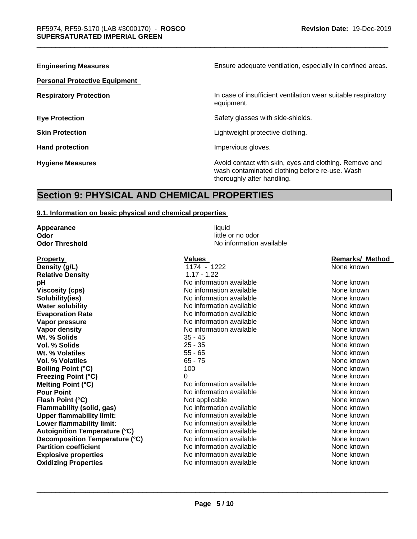| <b>Engineering Measures</b>          | Ensure adequate ventilation, especially in confined areas.                                                                             |  |  |
|--------------------------------------|----------------------------------------------------------------------------------------------------------------------------------------|--|--|
| <b>Personal Protective Equipment</b> |                                                                                                                                        |  |  |
| <b>Respiratory Protection</b>        | In case of insufficient ventilation wear suitable respiratory<br>equipment.                                                            |  |  |
| <b>Eye Protection</b>                | Safety glasses with side-shields.                                                                                                      |  |  |
| <b>Skin Protection</b>               | Lightweight protective clothing.                                                                                                       |  |  |
| <b>Hand protection</b>               | Impervious gloves.                                                                                                                     |  |  |
| <b>Hygiene Measures</b>              | Avoid contact with skin, eyes and clothing. Remove and<br>wash contaminated clothing before re-use. Wash<br>thoroughly after handling. |  |  |

# **Section 9: PHYSICAL AND CHEMICAL PROPERTIES**

#### **9.1. Information on basic physical and chemical properties**

| Appearance                           | liquid                   |                        |
|--------------------------------------|--------------------------|------------------------|
| Odor                                 | little or no odor        |                        |
| <b>Odor Threshold</b>                | No information available |                        |
| <b>Property</b>                      | <b>Values</b>            | <b>Remarks/ Method</b> |
| Density (g/L)                        | 1174 - 1222              | None known             |
| <b>Relative Density</b>              | $1.17 - 1.22$            |                        |
| рH                                   | No information available | None known             |
| <b>Viscosity (cps)</b>               | No information available | None known             |
| Solubility(ies)                      | No information available | None known             |
| <b>Water solubility</b>              | No information available | None known             |
| <b>Evaporation Rate</b>              | No information available | None known             |
| Vapor pressure                       | No information available | None known             |
| Vapor density                        | No information available | None known             |
| Wt. % Solids                         | $35 - 45$                | None known             |
| Vol. % Solids                        | $25 - 35$                | None known             |
| Wt. % Volatiles                      | $55 - 65$                | None known             |
| <b>Vol. % Volatiles</b>              | $65 - 75$                | None known             |
| <b>Boiling Point (°C)</b>            | 100                      | None known             |
| <b>Freezing Point (°C)</b>           | 0                        | None known             |
| Melting Point (°C)                   | No information available | None known             |
| <b>Pour Point</b>                    | No information available | None known             |
| Flash Point (°C)                     | Not applicable           | None known             |
| Flammability (solid, gas)            | No information available | None known             |
| <b>Upper flammability limit:</b>     | No information available | None known             |
| Lower flammability limit:            | No information available | None known             |
| <b>Autoignition Temperature (°C)</b> | No information available | None known             |
| Decomposition Temperature (°C)       | No information available | None known             |
| <b>Partition coefficient</b>         | No information available | None known             |
| <b>Explosive properties</b>          | No information available | None known             |
| <b>Oxidizing Properties</b>          | No information available | None known             |

# **Property Constructs Remarks/ Method 22**<br> **Property Remarks** Remarks Apple Removed B

| None<br>known |
|---------------|
| None<br>known |
| None<br>known |
| None<br>known |
| None<br>known |
| None<br>known |
| None<br>known |
| None<br>known |
| None<br>known |
| None<br>known |
| None<br>known |
| None<br>known |
| None<br>known |
| None<br>known |
| None<br>known |
| None<br>known |
|               |
| None<br>known |
| None<br>known |
| None<br>known |
| None<br>known |
| None<br>known |
| None<br>known |
| None<br>known |
| None<br>known |
|               |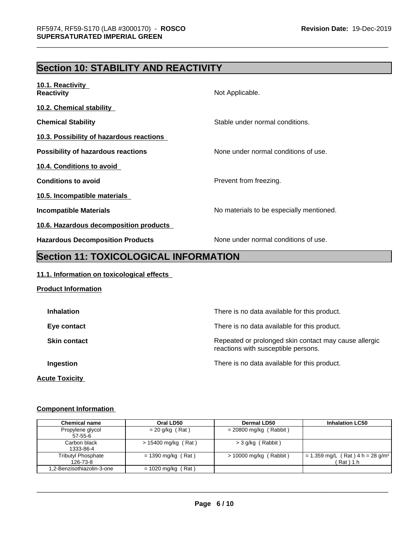# **Section 10: STABILITY AND REACTIVITY**

| Not Applicable.                                                                                                                                                                                                                                                                                                                                                                                                             |
|-----------------------------------------------------------------------------------------------------------------------------------------------------------------------------------------------------------------------------------------------------------------------------------------------------------------------------------------------------------------------------------------------------------------------------|
|                                                                                                                                                                                                                                                                                                                                                                                                                             |
| Stable under normal conditions.                                                                                                                                                                                                                                                                                                                                                                                             |
|                                                                                                                                                                                                                                                                                                                                                                                                                             |
| None under normal conditions of use.                                                                                                                                                                                                                                                                                                                                                                                        |
|                                                                                                                                                                                                                                                                                                                                                                                                                             |
| Prevent from freezing.                                                                                                                                                                                                                                                                                                                                                                                                      |
|                                                                                                                                                                                                                                                                                                                                                                                                                             |
| No materials to be especially mentioned.                                                                                                                                                                                                                                                                                                                                                                                    |
|                                                                                                                                                                                                                                                                                                                                                                                                                             |
| None under normal conditions of use.<br>$\overline{a}$ , $\overline{a}$ , $\overline{a}$ $\overline{a}$ $\overline{a}$ $\overline{a}$ $\overline{a}$ $\overline{a}$ $\overline{a}$ $\overline{a}$ $\overline{a}$ $\overline{a}$ $\overline{a}$ $\overline{a}$ $\overline{a}$ $\overline{a}$ $\overline{a}$ $\overline{a}$ $\overline{a}$ $\overline{a}$ $\overline{a}$ $\overline{a}$ $\overline{a}$ $\overline{a}$ $\over$ |
|                                                                                                                                                                                                                                                                                                                                                                                                                             |

## **Section 11: TOXICOLOGICAL INFORMATION**

### **11.1. Information on toxicological effects**

| <b>Product Information</b> |                                                                                              |
|----------------------------|----------------------------------------------------------------------------------------------|
| <b>Inhalation</b>          | There is no data available for this product.                                                 |
| Eye contact                | There is no data available for this product.                                                 |
| <b>Skin contact</b>        | Repeated or prolonged skin contact may cause allergic<br>reactions with susceptible persons. |
| Ingestion                  | There is no data available for this product.                                                 |
| <b>Acute Toxicity</b>      |                                                                                              |

#### **Component Information**

| <b>Chemical name</b>           | Oral LD50             | Dermal LD50              | <b>Inhalation LC50</b>                                   |
|--------------------------------|-----------------------|--------------------------|----------------------------------------------------------|
| Propylene glycol<br>57-55-6    | $= 20$ g/kg (Rat)     | $= 20800$ mg/kg (Rabbit) |                                                          |
| Carbon black<br>1333-86-4      | $> 15400$ mg/kg (Rat) | $>$ 3 g/kg (Rabbit)      |                                                          |
| Tributyl Phosphate<br>126-73-8 | $= 1390$ mg/kg (Rat)  | $> 10000$ mg/kg (Rabbit) | = 1.359 mg/L (Rat) 4 h = 28 g/m <sup>3</sup><br>(Rat)1 h |
| 1,2-Benzisothiazolin-3-one     | $= 1020$ mg/kg (Rat)  |                          |                                                          |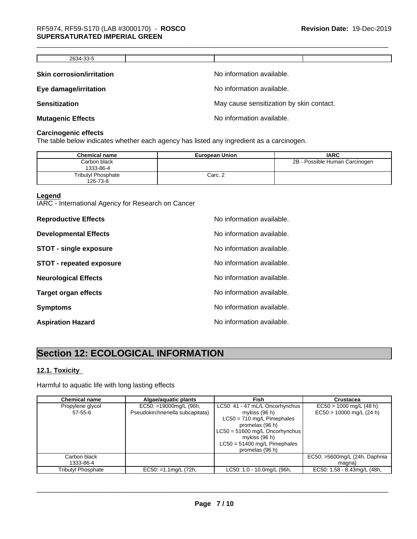| 2634-33-5                        |                                          |
|----------------------------------|------------------------------------------|
|                                  |                                          |
| <b>Skin corrosion/irritation</b> | No information available.                |
| Eye damage/irritation            | No information available.                |
| <b>Sensitization</b>             | May cause sensitization by skin contact. |
| <b>Mutagenic Effects</b>         | No information available.                |

#### **Carcinogenic effects**

The table below indicates whether each agency has listed any ingredient as a carcinogen.

| <b>Chemical name</b>                  | <b>European Union</b> | <b>IARC</b>                    |
|---------------------------------------|-----------------------|--------------------------------|
| Carbon black<br>1333-86-4             |                       | 2B - Possible Human Carcinogen |
| <b>Tributyl Phosphate</b><br>126-73-8 | Carc. 2               |                                |

#### **Legend**

IARC - International Agency for Research on Cancer

| <b>Reproductive Effects</b>     | No information available. |
|---------------------------------|---------------------------|
| <b>Developmental Effects</b>    | No information available. |
| <b>STOT - single exposure</b>   | No information available. |
| <b>STOT - repeated exposure</b> | No information available. |
| <b>Neurological Effects</b>     | No information available. |
| <b>Target organ effects</b>     | No information available. |
| <b>Symptoms</b>                 | No information available. |
| <b>Aspiration Hazard</b>        | No information available. |

# **Section 12: ECOLOGICAL INFORMATION**

#### **12.1. Toxicity**

Harmful to aquatic life with long lasting effects

| <b>Chemical name</b> | Algae/aquatic plants             | Fish                             | Crustacea                     |
|----------------------|----------------------------------|----------------------------------|-------------------------------|
| Propylene glycol     | $EC50: =19000$ mg/L (96h,        | LC50 41 - 47 mL/L Oncorhynchus   | $EC50 > 1000$ mg/L (48 h)     |
| $57 - 55 - 6$        | Pseudokirchneriella subcapitata) | mykiss (96 h)                    | $EC50 > 10000$ mg/L (24 h)    |
|                      |                                  | $LC50 = 710$ mg/L Pimephales     |                               |
|                      |                                  | promelas (96 h)                  |                               |
|                      |                                  | $LC50 = 51600$ mg/L Oncorhynchus |                               |
|                      |                                  | mykiss $(96 h)$                  |                               |
|                      |                                  | $LC50 = 51400$ mg/L Pimephales   |                               |
|                      |                                  | promelas (96 h)                  |                               |
| Carbon black         |                                  |                                  | EC50: >5600mg/L (24h, Daphnia |
| 1333-86-4            |                                  |                                  | magna)                        |
| Tributyl Phosphate   | $EC50: = 1.1$ mg/L (72h,         | LC50: 1.0 - 10.0mg/L (96h,       | EC50: 1.58 - 8.43mg/L (48h,   |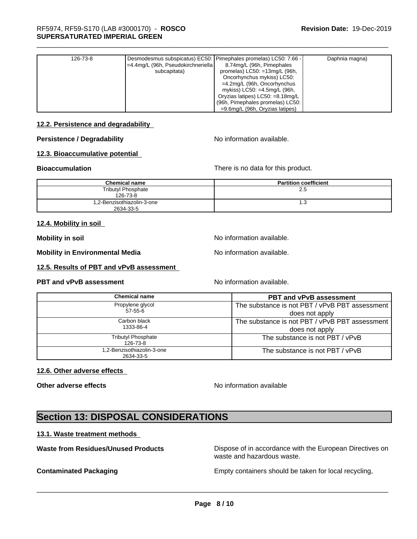| 126-73-8 | Desmodesmus subspicatus) EC50: Pimephales promelas) LC50: 7.66 -<br>$=4.4$ mg/L (96h, Pseudokirchneriella)<br>subcapitata) | 8.74mg/L (96h, Pimephales<br>promelas) $LC50: = 13$ mg/L (96h,<br>Oncorhynchus mykiss) LC50:<br>$=4.2$ mg/L (96h, Oncorhynchus<br>mykiss) LC50: =4.5mg/L (96h,<br>Oryzias latipes) LC50: =8.18mg/L | Daphnia magna) |
|----------|----------------------------------------------------------------------------------------------------------------------------|----------------------------------------------------------------------------------------------------------------------------------------------------------------------------------------------------|----------------|
|          |                                                                                                                            | (96h, Pimephales promelas) LC50:<br>$=9.6$ mg/L (96h, Oryzias latipes)                                                                                                                             |                |

#### **12.2. Persistence and degradability**

#### **Persistence / Degradability** No information available.

#### **12.3. Bioaccumulative potential**

**Bioaccumulation** There is no data for this product.

| <b>Chemical name</b>                    | <b>Partition coefficient</b> |
|-----------------------------------------|------------------------------|
| <b>Tributyl Phosphate</b><br>126-73-8   | 2.5                          |
| 1,2-Benzisothiazolin-3-one<br>2634-33-5 | ی. ا                         |

#### **12.4. Mobility in soil**

**Mobility in soil Mobility in soil Mobility in soil** 

**Mobility in Environmental Media** Noinformation available.

**12.5. Results of PBT and vPvB assessment**

#### **PBT and vPvB assessment** Noinformation available.

| The substance is not PBT / vPvB PBT assessment |
|------------------------------------------------|
| does not apply                                 |
| The substance is not PBT / vPvB PBT assessment |
| does not apply                                 |
| The substance is not PBT / vPvB                |
| The substance is not PBT / vPvB                |
|                                                |

#### **12.6. Other adverse effects**

**Other adverse effects** No information available

# **Section 13: DISPOSAL CONSIDERATIONS**

#### **13.1. Waste treatment methods**

**Waste from Residues/Unused Products** Dispose of in accordance with the European Directives on

waste and hazardous waste.

**Contaminated Packaging Empty containers should be taken for local recycling,**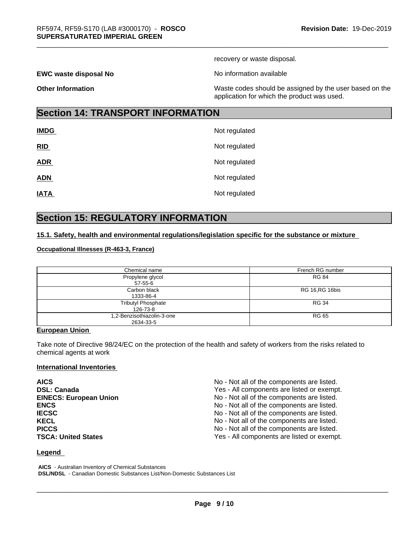recovery or waste disposal.

**EWC waste disposal No No information available EWC** waste disposal No

**Other Information** Maste codes should be assigned by the user based on the user based on the application for which the product was used.

# **Section 14: TRANSPORT INFORMATION**

| <b>IMDG</b> | Not regulated |
|-------------|---------------|
| RID         | Not regulated |
| <b>ADR</b>  | Not regulated |
| <b>ADN</b>  | Not regulated |
| <b>IATA</b> | Not regulated |

# **Section 15: REGULATORY INFORMATION**

#### **15.1. Safety, health and environmental regulations/legislation specific for the substance or mixture**

#### **Occupational Illnesses (R-463-3, France)**

| Chemical name                           | French RG number       |
|-----------------------------------------|------------------------|
| Propylene glycol<br>$57 - 55 - 6$       | <b>RG 84</b>           |
| Carbon black<br>1333-86-4               | <b>RG 16, RG 16bis</b> |
| <b>Tributyl Phosphate</b><br>126-73-8   | <b>RG 34</b>           |
| 1,2-Benzisothiazolin-3-one<br>2634-33-5 | RG 65                  |

#### **European Union**

Take note of Directive 98/24/EC on the protection of the health and safety of workers from the risks related to chemical agents at work

#### **International Inventories**

| <b>AICS</b>                   | No - Not all of the components are listed. |
|-------------------------------|--------------------------------------------|
| <b>DSL: Canada</b>            | Yes - All components are listed or exempt. |
| <b>EINECS: European Union</b> | No - Not all of the components are listed. |
| <b>ENCS</b>                   | No - Not all of the components are listed. |
| <b>IECSC</b>                  | No - Not all of the components are listed. |
| <b>KECL</b>                   | No - Not all of the components are listed. |
| <b>PICCS</b>                  | No - Not all of the components are listed. |
| <b>TSCA: United States</b>    | Yes - All components are listed or exempt. |

#### **Legend**

 **AICS** - Australian Inventory of Chemical Substances  **DSL/NDSL** - Canadian Domestic Substances List/Non-Domestic Substances List